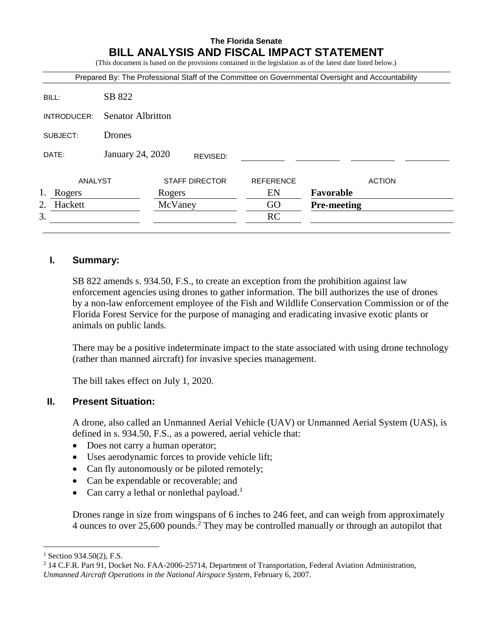# **The Florida Senate BILL ANALYSIS AND FISCAL IMPACT STATEMENT**

(This document is based on the provisions contained in the legislation as of the latest date listed below.)

|              |                          |         |                       |                  | Prepared By: The Professional Staff of the Committee on Governmental Oversight and Accountability |  |
|--------------|--------------------------|---------|-----------------------|------------------|---------------------------------------------------------------------------------------------------|--|
| BILL:        | SB 822                   |         |                       |                  |                                                                                                   |  |
| INTRODUCER:  | <b>Senator Albritton</b> |         |                       |                  |                                                                                                   |  |
| SUBJECT:     | <b>Drones</b>            |         |                       |                  |                                                                                                   |  |
| DATE:        | January 24, 2020         |         | REVISED:              |                  |                                                                                                   |  |
| ANALYST      |                          |         | <b>STAFF DIRECTOR</b> | <b>REFERENCE</b> | <b>ACTION</b>                                                                                     |  |
| 1.<br>Rogers |                          | Rogers  |                       | EN               | Favorable                                                                                         |  |
| Hackett      |                          | McVaney |                       | GO               | <b>Pre-meeting</b>                                                                                |  |
| 3.           |                          |         |                       | RC               |                                                                                                   |  |

### **I. Summary:**

SB 822 amends s. 934.50, F.S., to create an exception from the prohibition against law enforcement agencies using drones to gather information. The bill authorizes the use of drones by a non-law enforcement employee of the Fish and Wildlife Conservation Commission or of the Florida Forest Service for the purpose of managing and eradicating invasive exotic plants or animals on public lands.

There may be a positive indeterminate impact to the state associated with using drone technology (rather than manned aircraft) for invasive species management.

The bill takes effect on July 1, 2020.

# **II. Present Situation:**

A drone, also called an Unmanned Aerial Vehicle (UAV) or Unmanned Aerial System (UAS), is defined in s. 934.50, F.S., as a powered, aerial vehicle that:

- Does not carry a human operator;
- Uses aerodynamic forces to provide vehicle lift;
- Can fly autonomously or be piloted remotely;
- Can be expendable or recoverable; and
- Can carry a lethal or nonlethal payload.<sup>1</sup>

Drones range in size from wingspans of 6 inches to 246 feet, and can weigh from approximately 4 ounces to over 25,600 pounds.<sup>2</sup> They may be controlled manually or through an autopilot that

 $1$  Section 934.50(2), F.S.

<sup>2</sup> 14 C.F.R. Part 91, Docket No. FAA-2006-25714, Department of Transportation, Federal Aviation Administration, *Unmanned Aircraft Operations in the National Airspace System*, February 6, 2007.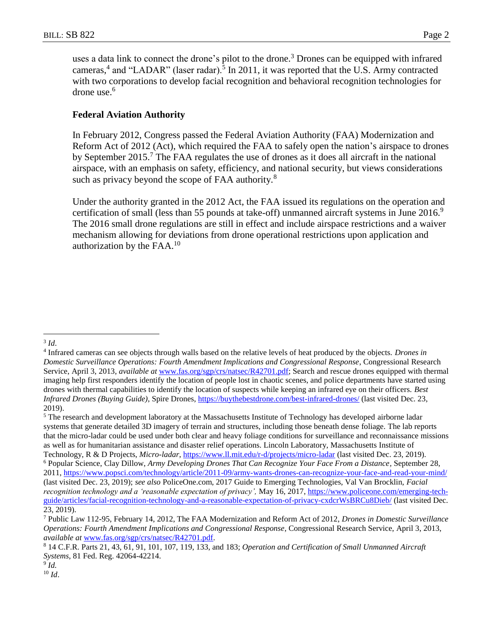uses a data link to connect the drone's pilot to the drone.<sup>3</sup> Drones can be equipped with infrared cameras,<sup>4</sup> and "LADAR" (laser radar).<sup>5</sup> In 2011, it was reported that the U.S. Army contracted with two corporations to develop facial recognition and behavioral recognition technologies for drone use.<sup>6</sup>

### **Federal Aviation Authority**

In February 2012, Congress passed the Federal Aviation Authority (FAA) Modernization and Reform Act of 2012 (Act), which required the FAA to safely open the nation's airspace to drones by September 2015.<sup>7</sup> The FAA regulates the use of drones as it does all aircraft in the national airspace, with an emphasis on safety, efficiency, and national security, but views considerations such as privacy beyond the scope of FAA authority.<sup>8</sup>

Under the authority granted in the 2012 Act, the FAA issued its regulations on the operation and certification of small (less than 55 pounds at take-off) unmanned aircraft systems in June  $2016$ .<sup>9</sup> The 2016 small drone regulations are still in effect and include airspace restrictions and a waiver mechanism allowing for deviations from drone operational restrictions upon application and authorization by the  $FAA<sup>10</sup>$ 

<sup>5</sup> The research and development laboratory at the Massachusetts Institute of Technology has developed airborne ladar systems that generate detailed 3D imagery of terrain and structures, including those beneath dense foliage. The lab reports that the micro-ladar could be used under both clear and heavy foliage conditions for surveillance and reconnaissance missions as well as for humanitarian assistance and disaster relief operations. Lincoln Laboratory, Massachusetts Institute of Technology, R & D Projects, *Micro-ladar*[, https://www.ll.mit.edu/r-d/projects/micro-ladar](https://www.ll.mit.edu/r-d/projects/micro-ladar) (last visited Dec. 23, 2019). <sup>6</sup> Popular Science, Clay Dillow, *Army Developing Drones That Can Recognize Your Face From a Distance,* September 28, 2011,<https://www.popsci.com/technology/article/2011-09/army-wants-drones-can-recognize-your-face-and-read-your-mind/> (last visited Dec. 23, 2019); *see also* PoliceOne.com, 2017 Guide to Emerging Technologies, Val Van Brocklin, *Facial recognition technology and a 'reasonable expectation of privacy',* May 16, 2017, [https://www.policeone.com/emerging-tech](https://www.policeone.com/emerging-tech-guide/articles/facial-recognition-technology-and-a-reasonable-expectation-of-privacy-cxdcrWsBRCu8Dieb/)[guide/articles/facial-recognition-technology-and-a-reasonable-expectation-of-privacy-cxdcrWsBRCu8Dieb/](https://www.policeone.com/emerging-tech-guide/articles/facial-recognition-technology-and-a-reasonable-expectation-of-privacy-cxdcrWsBRCu8Dieb/) (last visited Dec. 23, 2019).

9 *Id.* <sup>10</sup> *Id*.

 $\overline{a}$ 3 *Id*.

<sup>4</sup> Infrared cameras can see objects through walls based on the relative levels of heat produced by the objects. *Drones in Domestic Surveillance Operations: Fourth Amendment Implications and Congressional Response*, Congressional Research Service, April 3, 2013, *available at* [www.fas.org/sgp/crs/natsec/R42701.pdf;](http://www.fas.org/sgp/crs/natsec/R42701.pdf) Search and rescue drones equipped with thermal imaging help first responders identify the location of people lost in chaotic scenes, and police departments have started using drones with thermal capabilities to identify the location of suspects while keeping an infrared eye on their officers. *Best Infrared Drones (Buying Guide)*, Spire Drones,<https://buythebestdrone.com/best-infrared-drones/> (last visited Dec. 23, 2019).

<sup>7</sup> Public Law 112-95, February 14, 2012, The FAA Modernization and Reform Act of 2012, *Drones in Domestic Surveillance Operations: Fourth Amendment Implications and Congressional Response*, Congressional Research Service, April 3, 2013, *available at* [www.fas.org/sgp/crs/natsec/R42701.pdf.](http://www.fas.org/sgp/crs/natsec/R42701.pdf)

<sup>8</sup> 14 C.F.R. Parts 21, 43, 61, 91, 101, 107, 119, 133, and 183; *Operation and Certification of Small Unmanned Aircraft Systems*, 81 Fed. Reg. 42064-42214.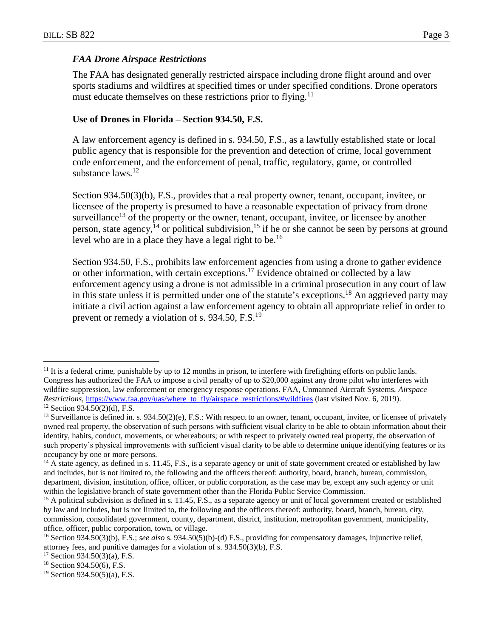#### *FAA Drone Airspace Restrictions*

The FAA has designated generally restricted airspace including drone flight around and over sports stadiums and wildfires at specified times or under specified conditions. Drone operators must educate themselves on these restrictions prior to flying.<sup>11</sup>

### **Use of Drones in Florida – Section 934.50, F.S.**

A law enforcement agency is defined in s. 934.50, F.S., as a lawfully established state or local public agency that is responsible for the prevention and detection of crime, local government code enforcement, and the enforcement of penal, traffic, regulatory, game, or controlled substance laws.<sup>12</sup>

Section 934.50(3)(b), F.S., provides that a real property owner, tenant, occupant, invitee, or licensee of the property is presumed to have a reasonable expectation of privacy from drone surveillance<sup>13</sup> of the property or the owner, tenant, occupant, invitee, or licensee by another person, state agency,<sup>14</sup> or political subdivision,<sup>15</sup> if he or she cannot be seen by persons at ground level who are in a place they have a legal right to be.<sup>16</sup>

Section 934.50, F.S., prohibits law enforcement agencies from using a drone to gather evidence or other information, with certain exceptions.<sup>17</sup> Evidence obtained or collected by a law enforcement agency using a drone is not admissible in a criminal prosecution in any court of law in this state unless it is permitted under one of the statute's exceptions.<sup>18</sup> An aggrieved party may initiate a civil action against a law enforcement agency to obtain all appropriate relief in order to prevent or remedy a violation of s. 934.50, F.S.<sup>19</sup>

<sup>&</sup>lt;sup>11</sup> It is a federal crime, punishable by up to 12 months in prison, to interfere with firefighting efforts on public lands. Congress has authorized the FAA to impose a civil penalty of up to \$20,000 against any drone pilot who interferes with wildfire suppression, law enforcement or emergency response operations. FAA, Unmanned Aircraft Systems, *Airspace Restrictions,* [https://www.faa.gov/uas/where\\_to\\_fly/airspace\\_restrictions/#wildfires](https://www.faa.gov/uas/where_to_fly/airspace_restrictions/#wildfires) (last visited Nov. 6, 2019).  $12$  Section 934.50(2)(d), F.S.

<sup>&</sup>lt;sup>13</sup> Surveillance is defined in. s.  $934.50(2)(e)$ , F.S.: With respect to an owner, tenant, occupant, invitee, or licensee of privately owned real property, the observation of such persons with sufficient visual clarity to be able to obtain information about their identity, habits, conduct, movements, or whereabouts; or with respect to privately owned real property, the observation of such property's physical improvements with sufficient visual clarity to be able to determine unique identifying features or its occupancy by one or more persons.

<sup>&</sup>lt;sup>14</sup> A state agency, as defined in s. 11.45, F.S., is a separate agency or unit of state government created or established by law and includes, but is not limited to, the following and the officers thereof: authority, board, branch, bureau, commission, department, division, institution, office, officer, or public corporation, as the case may be, except any such agency or unit within the legislative branch of state government other than the Florida Public Service Commission.

<sup>&</sup>lt;sup>15</sup> A political subdivision is defined in s. 11.45, F.S., as a separate agency or unit of local government created or established by law and includes, but is not limited to, the following and the officers thereof: authority, board, branch, bureau, city, commission, consolidated government, county, department, district, institution, metropolitan government, municipality, office, officer, public corporation, town, or village.

<sup>16</sup> Section 934.50(3)(b), F.S.; *see also* s. 934.50(5)(b)-(d) F.S., providing for compensatory damages, injunctive relief, attorney fees, and punitive damages for a violation of s. 934.50(3)(b), F.S.

 $17$  Section 934.50(3)(a), F.S.

<sup>18</sup> Section 934.50(6), F.S.

 $19$  Section 934.50(5)(a), F.S.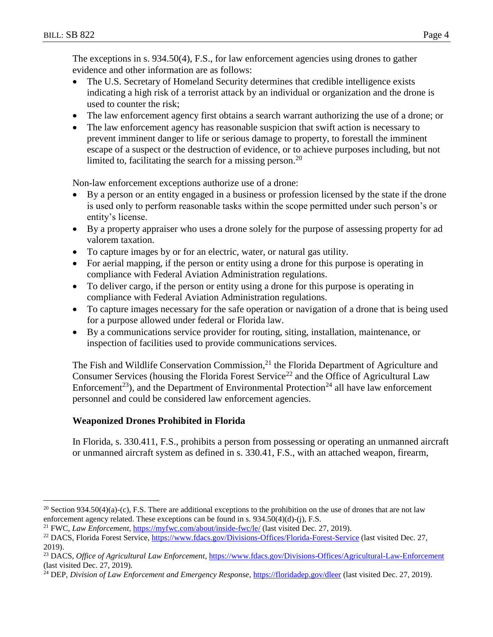$\overline{a}$ 

The exceptions in s. 934.50(4), F.S., for law enforcement agencies using drones to gather evidence and other information are as follows:

- The U.S. Secretary of Homeland Security determines that credible intelligence exists indicating a high risk of a terrorist attack by an individual or organization and the drone is used to counter the risk;
- The law enforcement agency first obtains a search warrant authorizing the use of a drone; or
- The law enforcement agency has reasonable suspicion that swift action is necessary to prevent imminent danger to life or serious damage to property, to forestall the imminent escape of a suspect or the destruction of evidence, or to achieve purposes including, but not limited to, facilitating the search for a missing person.<sup>20</sup>

Non-law enforcement exceptions authorize use of a drone:

- By a person or an entity engaged in a business or profession licensed by the state if the drone is used only to perform reasonable tasks within the scope permitted under such person's or entity's license.
- By a property appraiser who uses a drone solely for the purpose of assessing property for ad valorem taxation.
- To capture images by or for an electric, water, or natural gas utility.
- For aerial mapping, if the person or entity using a drone for this purpose is operating in compliance with Federal Aviation Administration regulations.
- To deliver cargo, if the person or entity using a drone for this purpose is operating in compliance with Federal Aviation Administration regulations.
- To capture images necessary for the safe operation or navigation of a drone that is being used for a purpose allowed under federal or Florida law.
- By a communications service provider for routing, siting, installation, maintenance, or inspection of facilities used to provide communications services.

The Fish and Wildlife Conservation Commission, $2<sup>1</sup>$  the Florida Department of Agriculture and Consumer Services (housing the Florida Forest Service<sup>22</sup> and the Office of Agricultural Law Enforcement<sup>23</sup>), and the Department of Environmental Protection<sup>24</sup> all have law enforcement personnel and could be considered law enforcement agencies.

### **Weaponized Drones Prohibited in Florida**

In Florida, s. 330.411, F.S., prohibits a person from possessing or operating an unmanned aircraft or unmanned aircraft system as defined in s. 330.41, F.S., with an attached weapon, firearm,

<sup>&</sup>lt;sup>20</sup> Section 934.50(4)(a)-(c), F.S. There are additional exceptions to the prohibition on the use of drones that are not law enforcement agency related. These exceptions can be found in s. 934.50(4)(d)-(j), F.S.

<sup>21</sup> FWC, *Law Enforcement*,<https://myfwc.com/about/inside-fwc/le/> (last visited Dec. 27, 2019).

<sup>&</sup>lt;sup>22</sup> DACS, Florida Forest Service,<https://www.fdacs.gov/Divisions-Offices/Florida-Forest-Service> (last visited Dec. 27, 2019).

<sup>23</sup> DACS, *Office of Agricultural Law Enforcement*[, https://www.fdacs.gov/Divisions-Offices/Agricultural-Law-Enforcement](https://www.fdacs.gov/Divisions-Offices/Agricultural-Law-Enforcement) (last visited Dec. 27, 2019).

<sup>24</sup> DEP, *Division of Law Enforcement and Emergency Response*[, https://floridadep.gov/dleer](https://floridadep.gov/dleer) (last visited Dec. 27, 2019).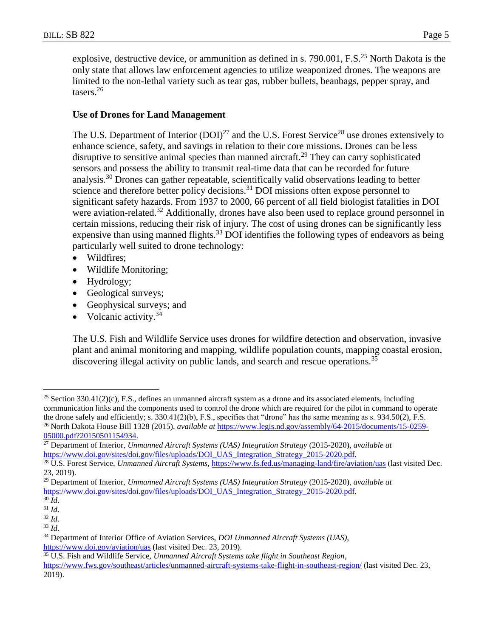explosive, destructive device, or ammunition as defined in s. 790.001, F.S.<sup>25</sup> North Dakota is the only state that allows law enforcement agencies to utilize weaponized drones. The weapons are limited to the non-lethal variety such as tear gas, rubber bullets, beanbags, pepper spray, and tasers. 26

### **Use of Drones for Land Management**

The U.S. Department of Interior  $(DOI)^{27}$  and the U.S. Forest Service<sup>28</sup> use drones extensively to enhance science, safety, and savings in relation to their core missions. Drones can be less disruptive to sensitive animal species than manned aircraft.<sup>29</sup> They can carry sophisticated sensors and possess the ability to transmit real-time data that can be recorded for future analysis.<sup>30</sup> Drones can gather repeatable, scientifically valid observations leading to better science and therefore better policy decisions.<sup>31</sup> DOI missions often expose personnel to significant safety hazards. From 1937 to 2000, 66 percent of all field biologist fatalities in DOI were aviation-related.<sup>32</sup> Additionally, drones have also been used to replace ground personnel in certain missions, reducing their risk of injury. The cost of using drones can be significantly less expensive than using manned flights.<sup>33</sup> DOI identifies the following types of endeavors as being particularly well suited to drone technology:

- Wildfires;
- Wildlife Monitoring;
- Hydrology;
- Geological surveys;
- Geophysical surveys; and
- Volcanic activity. $34$

The U.S. Fish and Wildlife Service uses drones for wildfire detection and observation, invasive plant and animal monitoring and mapping, wildlife population counts, mapping coastal erosion, discovering illegal activity on public lands, and search and rescue operations.<sup>35</sup>

<sup>&</sup>lt;sup>25</sup> Section 330.41(2)(c), F.S., defines an unmanned aircraft system as a drone and its associated elements, including communication links and the components used to control the drone which are required for the pilot in command to operate the drone safely and efficiently; s. 330.41(2)(b), F.S., specifies that "drone" has the same meaning as s. 934.50(2), F.S. <sup>26</sup> North Dakota House Bill 1328 (2015), *available at* [https://www.legis.nd.gov/assembly/64-2015/documents/15-0259-](https://www.legis.nd.gov/assembly/64-2015/documents/15-0259-05000.pdf?20150501154934) [05000.pdf?20150501154934.](https://www.legis.nd.gov/assembly/64-2015/documents/15-0259-05000.pdf?20150501154934)

<sup>27</sup> Department of Interior, *Unmanned Aircraft Systems (UAS) Integration Strategy* (2015-2020), *available at* [https://www.doi.gov/sites/doi.gov/files/uploads/DOI\\_UAS\\_Integration\\_Strategy\\_2015-2020.pdf.](https://www.doi.gov/sites/doi.gov/files/uploads/DOI_UAS_Integration_Strategy_2015-2020.pdf)

<sup>&</sup>lt;sup>28</sup> U.S. Forest Service, *Unmanned Aircraft Systems*,<https://www.fs.fed.us/managing-land/fire/aviation/uas> (last visited Dec. 23, 2019).

<sup>29</sup> Department of Interior, *Unmanned Aircraft Systems (UAS) Integration Strategy* (2015-2020), *available at* [https://www.doi.gov/sites/doi.gov/files/uploads/DOI\\_UAS\\_Integration\\_Strategy\\_2015-2020.pdf.](https://www.doi.gov/sites/doi.gov/files/uploads/DOI_UAS_Integration_Strategy_2015-2020.pdf)

<sup>30</sup> *Id*.

<sup>31</sup> *Id*.

<sup>32</sup> *Id*.

<sup>33</sup> *Id*.

<sup>34</sup> Department of Interior Office of Aviation Services, *DOI Unmanned Aircraft Systems (UAS)*, <https://www.doi.gov/aviation/uas> (last visited Dec. 23, 2019).

<sup>35</sup> U.S. Fish and Wildlife Service, *Unmanned Aircraft Systems take flight in Southeast Region*, <https://www.fws.gov/southeast/articles/unmanned-aircraft-systems-take-flight-in-southeast-region/> (last visited Dec. 23, 2019).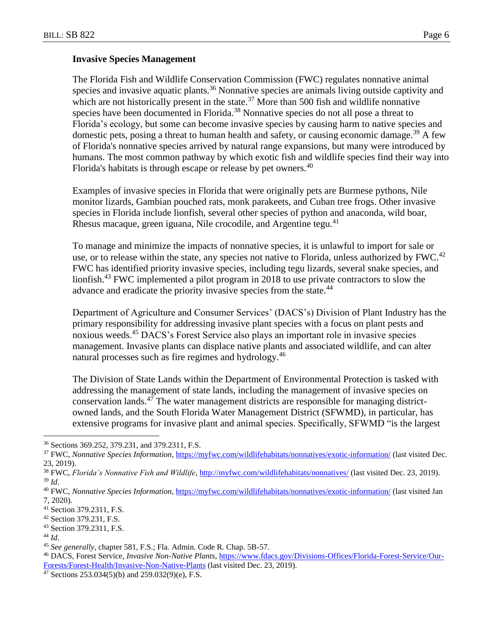#### **Invasive Species Management**

The Florida Fish and Wildlife Conservation Commission (FWC) regulates nonnative animal species and invasive aquatic plants.<sup>36</sup> Nonnative species are animals living outside captivity and which are not historically present in the state.<sup>37</sup> More than 500 fish and wildlife nonnative species have been documented in Florida.<sup>38</sup> Nonnative species do not all pose a threat to Florida's ecology, but some can become invasive species by causing harm to native species and domestic pets, posing a threat to human health and safety, or causing economic damage.<sup>39</sup> A few of Florida's nonnative species arrived by natural range expansions, but many were introduced by humans. The most common pathway by which exotic fish and wildlife species find their way into Florida's habitats is through escape or release by pet owners.<sup>40</sup>

Examples of invasive species in Florida that were originally pets are Burmese pythons, Nile monitor lizards, Gambian pouched rats, monk parakeets, and Cuban tree frogs. Other invasive species in Florida include lionfish, several other species of python and anaconda, wild boar, Rhesus macaque, green iguana, Nile crocodile, and Argentine tegu. $41$ 

To manage and minimize the impacts of nonnative species, it is unlawful to import for sale or use, or to release within the state, any species not native to Florida, unless authorized by FWC.<sup>42</sup> FWC has identified priority invasive species, including tegu lizards, several snake species, and lionfish.<sup>43</sup> FWC implemented a pilot program in 2018 to use private contractors to slow the advance and eradicate the priority invasive species from the state.<sup>44</sup>

Department of Agriculture and Consumer Services' (DACS's) Division of Plant Industry has the primary responsibility for addressing invasive plant species with a focus on plant pests and noxious weeds.<sup>45</sup> DACS's Forest Service also plays an important role in invasive species management. Invasive plants can displace native plants and associated wildlife, and can alter natural processes such as fire regimes and hydrology.<sup>46</sup>

The Division of State Lands within the Department of Environmental Protection is tasked with addressing the management of state lands, including the management of invasive species on conservation lands.<sup>47</sup> The water management districts are responsible for managing districtowned lands, and the South Florida Water Management District (SFWMD), in particular, has extensive programs for invasive plant and animal species. Specifically, SFWMD "is the largest

<sup>36</sup> Sections 369.252, 379.231, and 379.2311, F.S.

<sup>&</sup>lt;sup>37</sup> FWC, *Nonnative Species Information*[, https://myfwc.com/wildlifehabitats/nonnatives/exotic-information/](https://myfwc.com/wildlifehabitats/nonnatives/exotic-information/) (last visited Dec. 23, 2019).

<sup>38</sup> FWC, *Florida's Nonnative Fish and Wildlife*,<http://myfwc.com/wildlifehabitats/nonnatives/> (last visited Dec. 23, 2019). <sup>39</sup> *Id*.

<sup>40</sup> FWC, *Nonnative Species Information*[, https://myfwc.com/wildlifehabitats/nonnatives/exotic-information/](https://myfwc.com/wildlifehabitats/nonnatives/exotic-information/) (last visited Jan 7, 2020).

<sup>41</sup> Section 379.2311, F.S.

<sup>42</sup> Section 379.231, F.S.

<sup>43</sup> Section 379.2311, F.S.

<sup>44</sup> *Id*.

<sup>45</sup> *See generally*, chapter 581, F.S.; Fla. Admin. Code R. Chap. 5B-57.

<sup>46</sup> DACS, Forest Service, *Invasive Non-Native Plants*, [https://www.fdacs.gov/Divisions-Offices/Florida-Forest-Service/Our-](https://www.fdacs.gov/Divisions-Offices/Florida-Forest-Service/Our-Forests/Forest-Health/Invasive-Non-Native-Plants)[Forests/Forest-Health/Invasive-Non-Native-Plants](https://www.fdacs.gov/Divisions-Offices/Florida-Forest-Service/Our-Forests/Forest-Health/Invasive-Non-Native-Plants) (last visited Dec. 23, 2019).

<sup>&</sup>lt;sup>47</sup> Sections 253.034(5)(b) and 259.032(9)(e), F.S.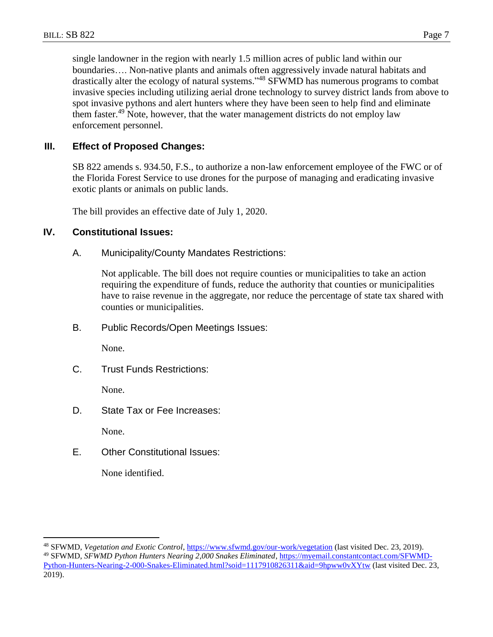single landowner in the region with nearly 1.5 million acres of public land within our boundaries…. Non-native plants and animals often aggressively invade natural habitats and drastically alter the ecology of natural systems."<sup>48</sup> SFWMD has numerous programs to combat invasive species including utilizing aerial drone technology to survey district lands from above to spot invasive pythons and alert hunters where they have been seen to help find and eliminate them faster.<sup>49</sup> Note, however, that the water management districts do not employ law enforcement personnel.

# **III. Effect of Proposed Changes:**

SB 822 amends s. 934.50, F.S., to authorize a non-law enforcement employee of the FWC or of the Florida Forest Service to use drones for the purpose of managing and eradicating invasive exotic plants or animals on public lands.

The bill provides an effective date of July 1, 2020.

### **IV. Constitutional Issues:**

A. Municipality/County Mandates Restrictions:

Not applicable. The bill does not require counties or municipalities to take an action requiring the expenditure of funds, reduce the authority that counties or municipalities have to raise revenue in the aggregate, nor reduce the percentage of state tax shared with counties or municipalities.

B. Public Records/Open Meetings Issues:

None.

C. Trust Funds Restrictions:

None.

D. State Tax or Fee Increases:

None.

 $\overline{a}$ 

E. Other Constitutional Issues:

None identified.

<sup>48</sup> SFWMD, *Vegetation and Exotic Control*,<https://www.sfwmd.gov/our-work/vegetation> (last visited Dec. 23, 2019). <sup>49</sup> SFWMD, *SFWMD Python Hunters Nearing 2,000 Snakes Eliminated*, [https://myemail.constantcontact.com/SFWMD-](https://myemail.constantcontact.com/SFWMD-Python-Hunters-Nearing-2-000-Snakes-Eliminated.html?soid=1117910826311&aid=9hpww0vXYtw)[Python-Hunters-Nearing-2-000-Snakes-Eliminated.html?soid=1117910826311&aid=9hpww0vXYtw](https://myemail.constantcontact.com/SFWMD-Python-Hunters-Nearing-2-000-Snakes-Eliminated.html?soid=1117910826311&aid=9hpww0vXYtw) (last visited Dec. 23, 2019).